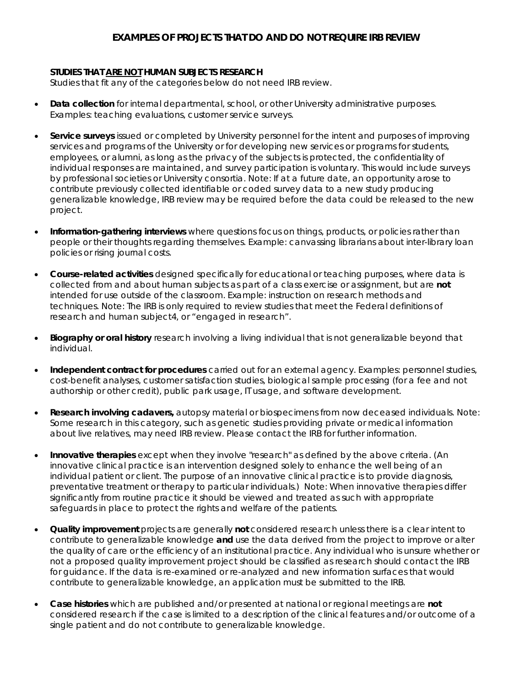## **EXAMPLES OF PROJECTS THAT DO AND DO NOT REQUIRE IRB REVIEW**

## **STUDIES THAT ARE NOT HUMAN SUBJECTS RESEARCH**

Studies that fit any of the categories below do not need IRB review.

- **Data collection** for internal departmental, school, or other University administrative purposes. Examples: teaching evaluations, customer service surveys.
- **Service surveys** issued or completed by University personnel for the intent and purposes of improving services and programs of the University or for developing new services or programs for students, employees, or alumni, as long as the privacy of the subjects is protected, the confidentiality of individual responses are maintained, and survey participation is voluntary. This would include surveys by professional societies or University consortia. *Note: If at a future date, an opportunity arose to contribute previously collected identifiable or coded survey data to a new study producing generalizable knowledge, IRB review may be required before the data could be released to the new project.*
- **Information-gathering interviews** where questions focus on things, products, or policies rather than people or their thoughts regarding themselves. Example: canvassing librarians about inter-library loan policies or rising journal costs.
- **Course-related activities** designed specifically for educational or teaching purposes, where data is collected from and about human subjects as part of a class exercise or assignment, but are **not**  intended for use outside of the classroom. Example: instruction on research methods and techniques. *Note: The IRB is only required to review studies that meet the Federal definitions of research and human subject4, or "engaged in research".*
- **Biography or oral history** research involving a living individual that is not generalizable beyond that individual.
- **Independent contract for procedures** carried out for an external agency. Examples: personnel studies, cost-benefit analyses, customer satisfaction studies, biological sample processing (for a fee and not authorship or other credit), public park usage, IT usage, and software development.
- **Research involving cadavers,** autopsy material or biospecimens from now deceased individuals. *Note: Some research in this category, such as genetic studies providing private or medical information about live relatives, may need IRB review. Please contact the IRB for further information.*
- **Innovative therapies** except when they involve "research" as defined by the above criteria. (An innovative clinical practice is an intervention designed solely to enhance the well being of an individual patient or client. The purpose of an innovative clinical practice is to provide diagnosis, preventative treatment or therapy to particular individuals.) *Note: When innovative therapies differ significantly from routine practice it should be viewed and treated as such with appropriate safeguards in place to protect the rights and welfare of the patients.*
- **Quality improvement** projects are generally **not** considered research unless there is a clear intent to contribute to generalizable knowledge **and** use the data derived from the project to improve or alter the quality of care or the efficiency of an institutional practice. Any individual who is unsure whether or not a proposed quality improvement project should be classified as research should contact the IRB for guidance. If the data is re-examined or re-analyzed and new information surfaces that would contribute to generalizable knowledge, an application must be submitted to the IRB.
- **Case histories** which are published and/or presented at national or regional meetings are **not**  considered research if the case is limited to a description of the clinical features and/or outcome of a single patient and do not contribute to generalizable knowledge.